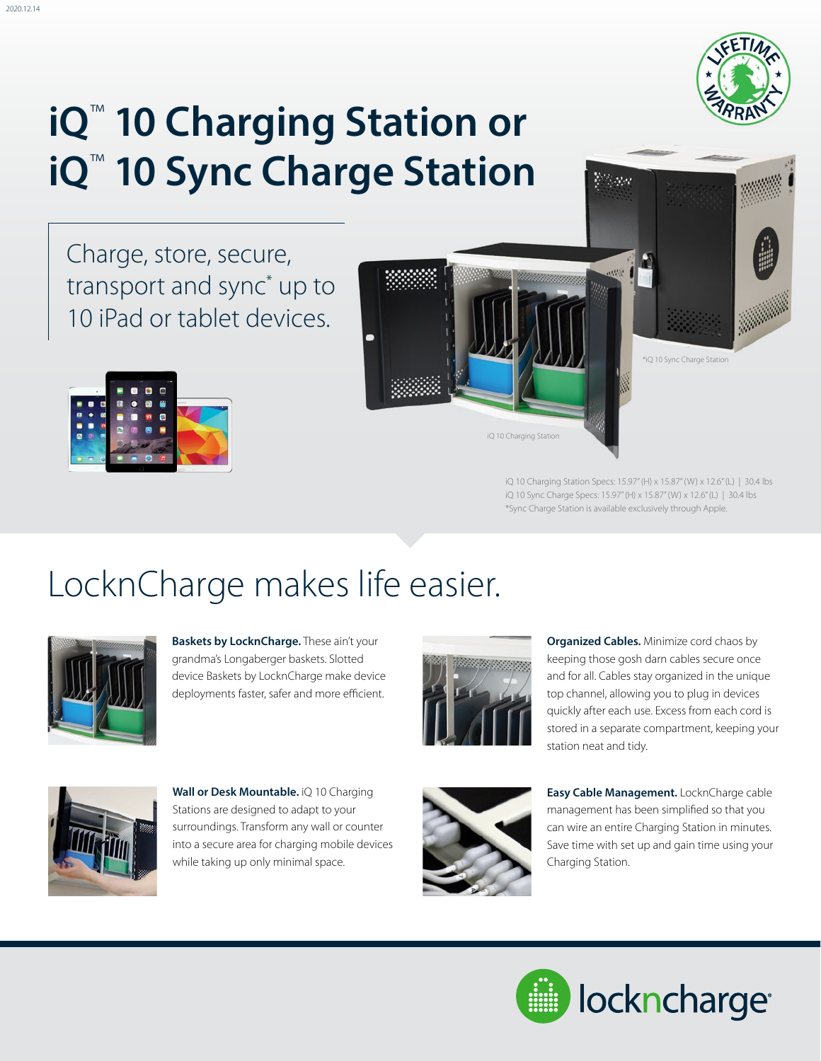# **iQ**™ **10 Charging Station or iQ**™ **10 Sync Charge Station**

Charge, store, secure, transport and sync\* up to 10 iPad or tablet devices.



2020.12.14



iQ 10 Charging Station Specs: 15.97" (H) x 15.87" (W) x 12.6" (L) | 30.4 lbs iQ 10 Sync Charge Specs: 15.97" (H) x 15.87" (W) x 12.6" (L) | 30.4 lbs \*Sync Charge Station is available exclusively through Apple.

### LocknCharge makes life easier.



**Baskets by LocknCharge.** These ain't your grandma's Longaberger baskets. Slotted device Baskets by LocknCharge make device deployments faster, safer and more efficient.



**Organized Cables.** Minimize cord chaos by keeping those gosh darn cables secure once and for all. Cables stay organized in the unique top channel, allowing you to plug in devices quickly after each use. Excess from each cord is stored in a separate compartment, keeping your station neat and tidy.



**Wall or Desk Mountable.** iQ 10 Charging Stations are designed to adapt to your surroundings. Transform any wall or counter into a secure area for charging mobile devices while taking up only minimal space.



**Easy Cable Management.** LocknCharge cable management has been simplified so that you can wire an entire Charging Station in minutes. Save time with set up and gain time using your Charging Station.